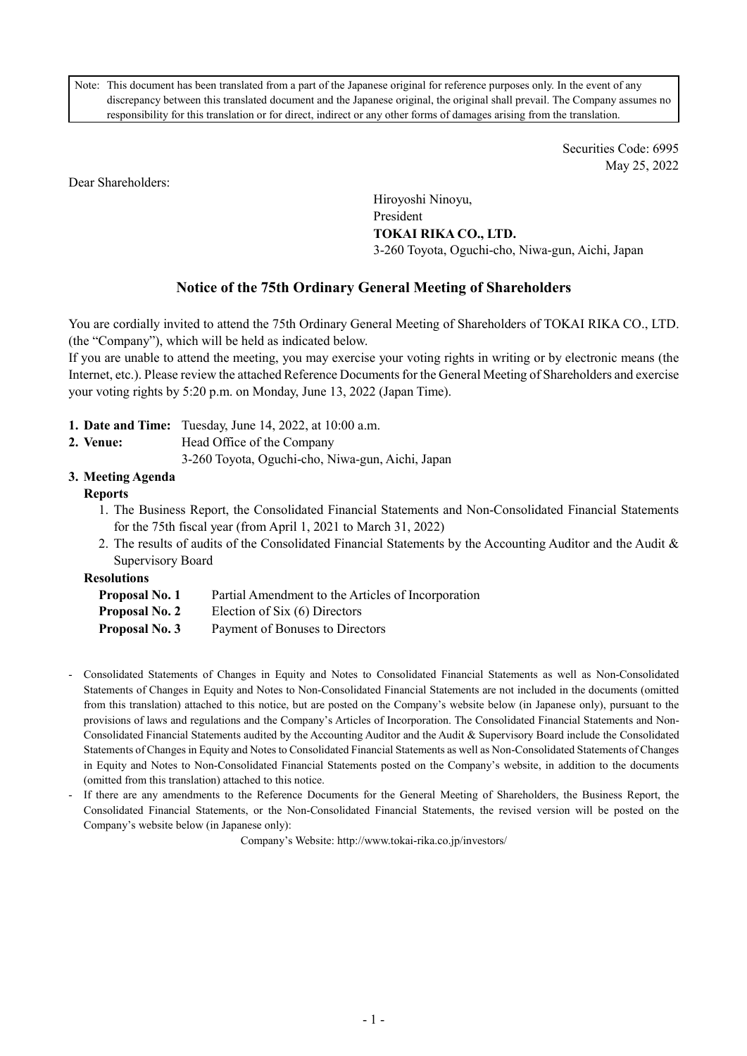Note: This document has been translated from a part of the Japanese original for reference purposes only. In the event of any discrepancy between this translated document and the Japanese original, the original shall prevail. The Company assumes no responsibility for this translation or for direct, indirect or any other forms of damages arising from the translation.

> Securities Code: 6995 May 25, 2022

Dear Shareholders:

Hiroyoshi Ninoyu, President **TOKAI RIKA CO., LTD.**  3-260 Toyota, Oguchi-cho, Niwa-gun, Aichi, Japan

# **Notice of the 75th Ordinary General Meeting of Shareholders**

You are cordially invited to attend the 75th Ordinary General Meeting of Shareholders of TOKAI RIKA CO., LTD. (the "Company"), which will be held as indicated below.

If you are unable to attend the meeting, you may exercise your voting rights in writing or by electronic means (the Internet, etc.). Please review the attached Reference Documents for the General Meeting of Shareholders and exercise your voting rights by 5:20 p.m. on Monday, June 13, 2022 (Japan Time).

- **1. Date and Time:** Tuesday, June 14, 2022, at 10:00 a.m.
- **2. Venue:** Head Office of the Company
	- 3-260 Toyota, Oguchi-cho, Niwa-gun, Aichi, Japan

# **3. Meeting Agenda**

# **Reports**

- 1. The Business Report, the Consolidated Financial Statements and Non-Consolidated Financial Statements for the 75th fiscal year (from April 1, 2021 to March 31, 2022)
- 2. The results of audits of the Consolidated Financial Statements by the Accounting Auditor and the Audit & Supervisory Board

**Resolutions** 

- **Proposal No. 1** Partial Amendment to the Articles of Incorporation
- **Proposal No. 2** Election of Six (6) Directors
- **Proposal No. 3** Payment of Bonuses to Directors
- Consolidated Statements of Changes in Equity and Notes to Consolidated Financial Statements as well as Non-Consolidated Statements of Changes in Equity and Notes to Non-Consolidated Financial Statements are not included in the documents (omitted from this translation) attached to this notice, but are posted on the Company's website below (in Japanese only), pursuant to the provisions of laws and regulations and the Company's Articles of Incorporation. The Consolidated Financial Statements and Non-Consolidated Financial Statements audited by the Accounting Auditor and the Audit & Supervisory Board include the Consolidated Statements of Changes in Equity and Notes to Consolidated Financial Statements as well as Non-Consolidated Statements of Changes in Equity and Notes to Non-Consolidated Financial Statements posted on the Company's website, in addition to the documents (omitted from this translation) attached to this notice.
- If there are any amendments to the Reference Documents for the General Meeting of Shareholders, the Business Report, the Consolidated Financial Statements, or the Non-Consolidated Financial Statements, the revised version will be posted on the Company's website below (in Japanese only):

Company's Website: http://www.tokai-rika.co.jp/investors/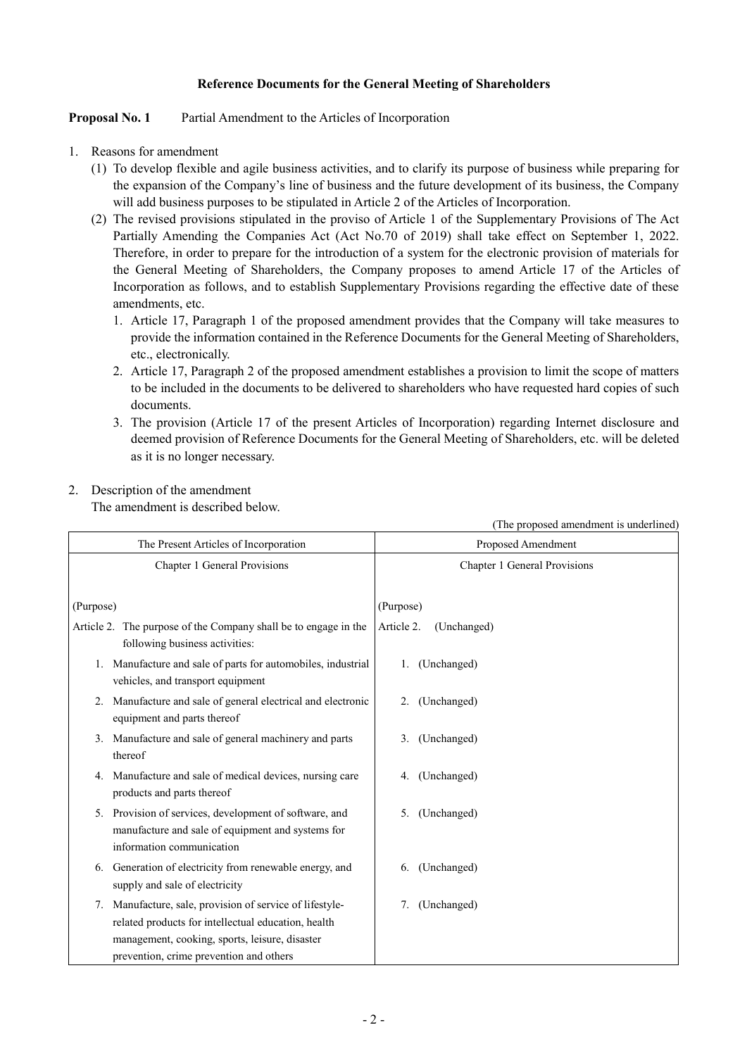## **Reference Documents for the General Meeting of Shareholders**

## **Proposal No. 1** Partial Amendment to the Articles of Incorporation

- 1. Reasons for amendment
	- (1) To develop flexible and agile business activities, and to clarify its purpose of business while preparing for the expansion of the Company's line of business and the future development of its business, the Company will add business purposes to be stipulated in Article 2 of the Articles of Incorporation.
	- (2) The revised provisions stipulated in the proviso of Article 1 of the Supplementary Provisions of The Act Partially Amending the Companies Act (Act No.70 of 2019) shall take effect on September 1, 2022. Therefore, in order to prepare for the introduction of a system for the electronic provision of materials for the General Meeting of Shareholders, the Company proposes to amend Article 17 of the Articles of Incorporation as follows, and to establish Supplementary Provisions regarding the effective date of these amendments, etc.
		- 1. Article 17, Paragraph 1 of the proposed amendment provides that the Company will take measures to provide the information contained in the Reference Documents for the General Meeting of Shareholders, etc., electronically.
		- 2. Article 17, Paragraph 2 of the proposed amendment establishes a provision to limit the scope of matters to be included in the documents to be delivered to shareholders who have requested hard copies of such documents.
		- 3. The provision (Article 17 of the present Articles of Incorporation) regarding Internet disclosure and deemed provision of Reference Documents for the General Meeting of Shareholders, etc. will be deleted as it is no longer necessary.

# 2. Description of the amendment

The amendment is described below.

|                                                                                                                                                                                                              | (The proposed amendment is underlined) |  |  |  |  |
|--------------------------------------------------------------------------------------------------------------------------------------------------------------------------------------------------------------|----------------------------------------|--|--|--|--|
| The Present Articles of Incorporation                                                                                                                                                                        | Proposed Amendment                     |  |  |  |  |
| Chapter 1 General Provisions                                                                                                                                                                                 | Chapter 1 General Provisions           |  |  |  |  |
| (Purpose)                                                                                                                                                                                                    | (Purpose)                              |  |  |  |  |
| Article 2. The purpose of the Company shall be to engage in the<br>following business activities:                                                                                                            | Article 2.<br>(Unchanged)              |  |  |  |  |
| 1. Manufacture and sale of parts for automobiles, industrial<br>vehicles, and transport equipment                                                                                                            | 1. (Unchanged)                         |  |  |  |  |
| 2. Manufacture and sale of general electrical and electronic<br>equipment and parts thereof                                                                                                                  | 2. (Unchanged)                         |  |  |  |  |
| 3. Manufacture and sale of general machinery and parts<br>thereof                                                                                                                                            | 3. (Unchanged)                         |  |  |  |  |
| Manufacture and sale of medical devices, nursing care<br>products and parts thereof                                                                                                                          | (Unchanged)<br>4.                      |  |  |  |  |
| 5. Provision of services, development of software, and<br>manufacture and sale of equipment and systems for<br>information communication                                                                     | 5. (Unchanged)                         |  |  |  |  |
| 6. Generation of electricity from renewable energy, and<br>supply and sale of electricity                                                                                                                    | (Unchanged)<br>6.                      |  |  |  |  |
| 7. Manufacture, sale, provision of service of lifestyle-<br>related products for intellectual education, health<br>management, cooking, sports, leisure, disaster<br>prevention, crime prevention and others | (Unchanged)<br>7.                      |  |  |  |  |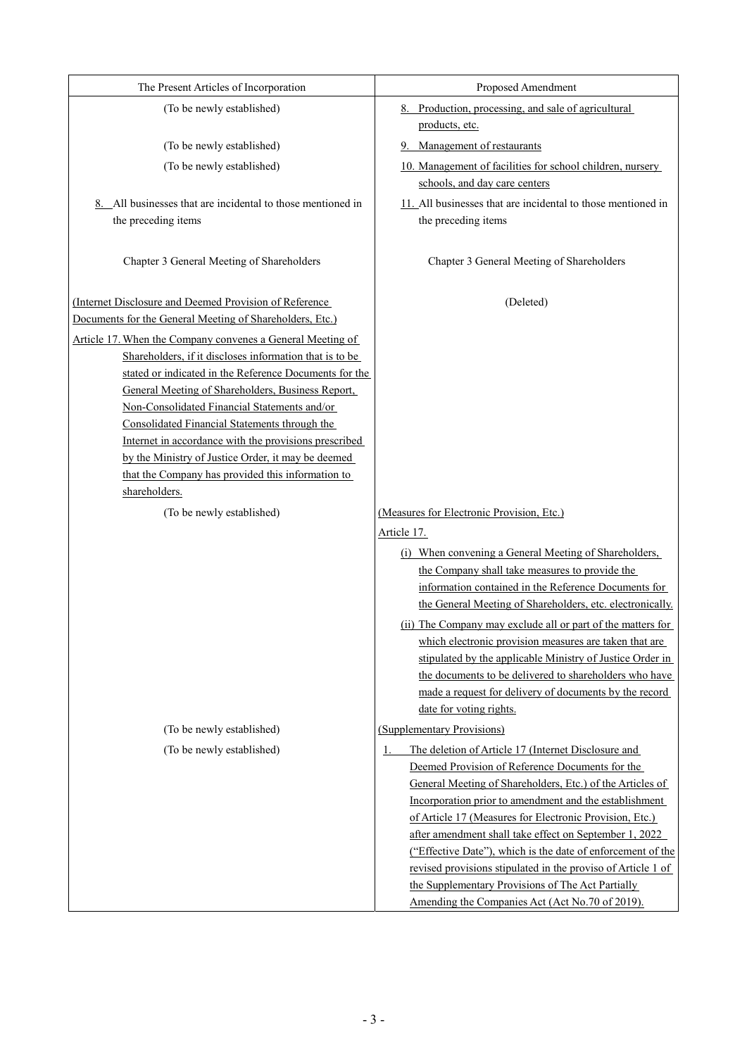| The Present Articles of Incorporation                                                             | Proposed Amendment                                                                                                          |
|---------------------------------------------------------------------------------------------------|-----------------------------------------------------------------------------------------------------------------------------|
| (To be newly established)                                                                         | 8. Production, processing, and sale of agricultural                                                                         |
|                                                                                                   | products, etc.                                                                                                              |
| (To be newly established)                                                                         | Management of restaurants                                                                                                   |
| (To be newly established)                                                                         | 10. Management of facilities for school children, nursery                                                                   |
|                                                                                                   | schools, and day care centers                                                                                               |
| 8. All businesses that are incidental to those mentioned in                                       | 11. All businesses that are incidental to those mentioned in                                                                |
| the preceding items                                                                               | the preceding items                                                                                                         |
|                                                                                                   |                                                                                                                             |
| Chapter 3 General Meeting of Shareholders                                                         | Chapter 3 General Meeting of Shareholders                                                                                   |
|                                                                                                   |                                                                                                                             |
| (Internet Disclosure and Deemed Provision of Reference                                            | (Deleted)                                                                                                                   |
| Documents for the General Meeting of Shareholders, Etc.)                                          |                                                                                                                             |
| Article 17. When the Company convenes a General Meeting of                                        |                                                                                                                             |
| Shareholders, if it discloses information that is to be                                           |                                                                                                                             |
| stated or indicated in the Reference Documents for the                                            |                                                                                                                             |
| General Meeting of Shareholders, Business Report,<br>Non-Consolidated Financial Statements and/or |                                                                                                                             |
| Consolidated Financial Statements through the                                                     |                                                                                                                             |
| Internet in accordance with the provisions prescribed                                             |                                                                                                                             |
| by the Ministry of Justice Order, it may be deemed                                                |                                                                                                                             |
| that the Company has provided this information to                                                 |                                                                                                                             |
| shareholders.                                                                                     |                                                                                                                             |
| (To be newly established)                                                                         | (Measures for Electronic Provision, Etc.)                                                                                   |
|                                                                                                   | Article 17.                                                                                                                 |
|                                                                                                   | (i) When convening a General Meeting of Shareholders,                                                                       |
|                                                                                                   | the Company shall take measures to provide the                                                                              |
|                                                                                                   | information contained in the Reference Documents for                                                                        |
|                                                                                                   | the General Meeting of Shareholders, etc. electronically.                                                                   |
|                                                                                                   | (ii) The Company may exclude all or part of the matters for                                                                 |
|                                                                                                   | which electronic provision measures are taken that are                                                                      |
|                                                                                                   | stipulated by the applicable Ministry of Justice Order in<br>the documents to be delivered to shareholders who have         |
|                                                                                                   | made a request for delivery of documents by the record                                                                      |
|                                                                                                   | date for voting rights.                                                                                                     |
| (To be newly established)                                                                         | (Supplementary Provisions)                                                                                                  |
| (To be newly established)                                                                         | The deletion of Article 17 (Internet Disclosure and<br>1                                                                    |
|                                                                                                   | Deemed Provision of Reference Documents for the                                                                             |
|                                                                                                   | General Meeting of Shareholders, Etc.) of the Articles of                                                                   |
|                                                                                                   | Incorporation prior to amendment and the establishment                                                                      |
|                                                                                                   | of Article 17 (Measures for Electronic Provision, Etc.)                                                                     |
|                                                                                                   | after amendment shall take effect on September 1, 2022                                                                      |
|                                                                                                   | ("Effective Date"), which is the date of enforcement of the<br>revised provisions stipulated in the proviso of Article 1 of |
|                                                                                                   |                                                                                                                             |
|                                                                                                   | the Supplementary Provisions of The Act Partially                                                                           |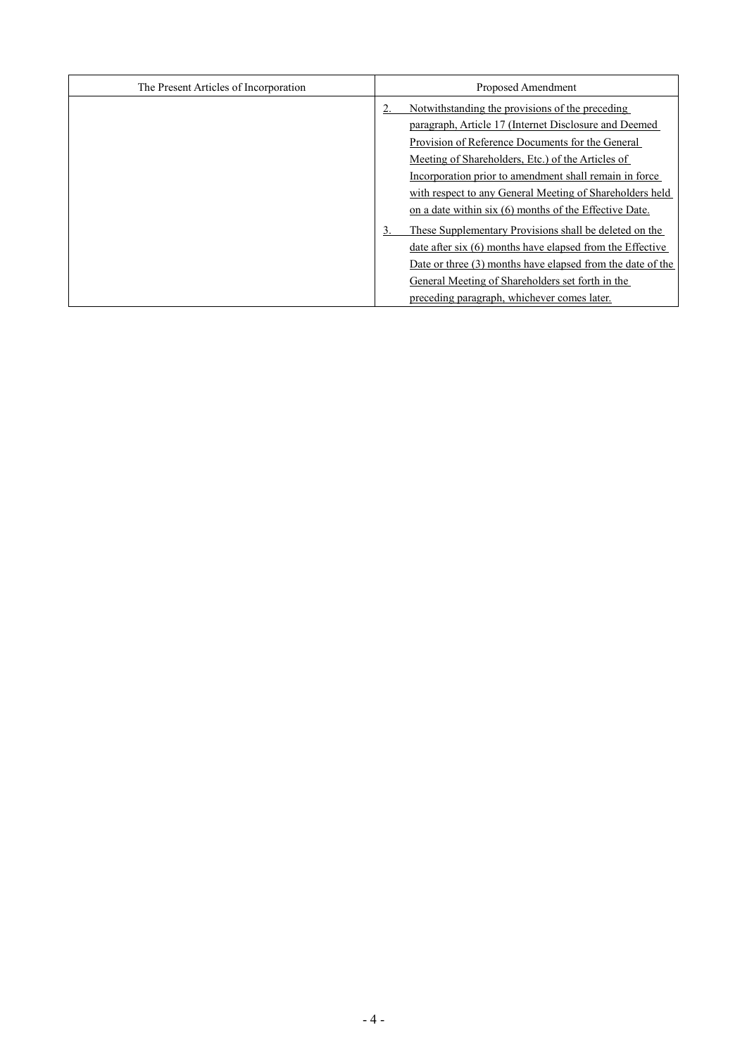| The Present Articles of Incorporation | Proposed Amendment                                                                                                                                                                                                                                                                                          |
|---------------------------------------|-------------------------------------------------------------------------------------------------------------------------------------------------------------------------------------------------------------------------------------------------------------------------------------------------------------|
|                                       | Notwithstanding the provisions of the preceding<br>paragraph, Article 17 (Internet Disclosure and Deemed<br>Provision of Reference Documents for the General<br>Meeting of Shareholders, Etc.) of the Articles of                                                                                           |
|                                       | Incorporation prior to amendment shall remain in force<br>with respect to any General Meeting of Shareholders held<br>on a date within six (6) months of the Effective Date.<br>These Supplementary Provisions shall be deleted on the<br>3.<br>date after six $(6)$ months have elapsed from the Effective |
|                                       | Date or three $(3)$ months have elapsed from the date of the<br>General Meeting of Shareholders set forth in the<br>preceding paragraph, whichever comes later.                                                                                                                                             |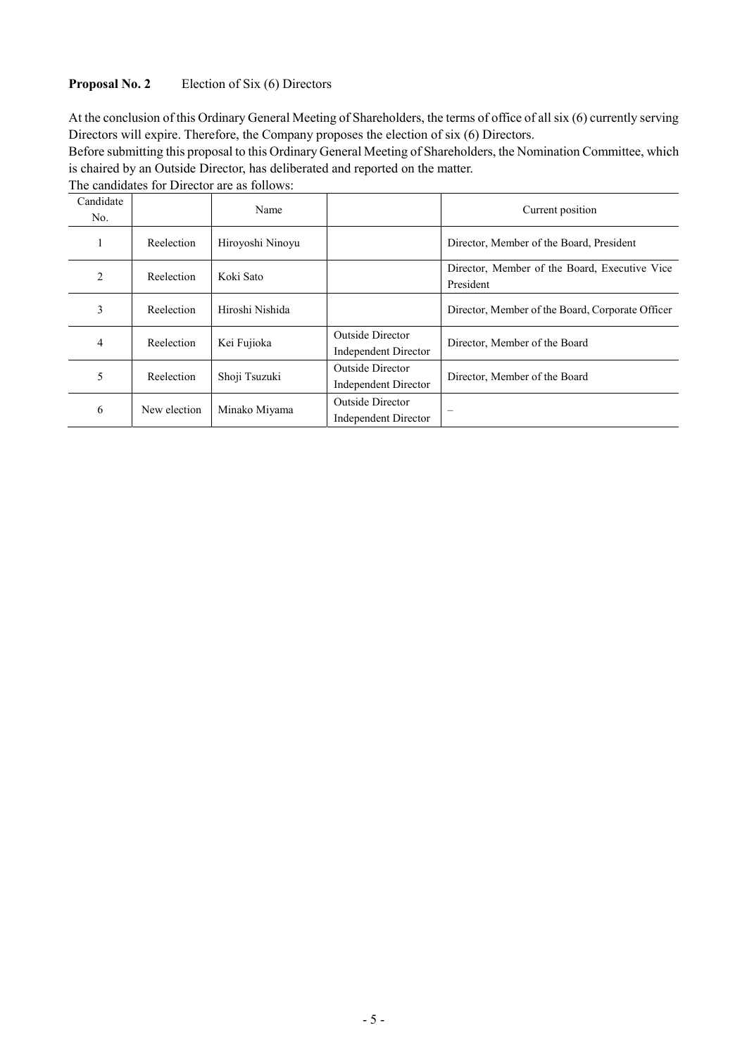## **Proposal No. 2** Election of Six (6) Directors

At the conclusion of this Ordinary General Meeting of Shareholders, the terms of office of all six (6) currently serving Directors will expire. Therefore, the Company proposes the election of six (6) Directors.

Before submitting this proposal to this Ordinary General Meeting of Shareholders, the Nomination Committee, which is chaired by an Outside Director, has deliberated and reported on the matter.

The candidates for Director are as follows:

| Candidate<br>No. |              | Name             |                                                 | Current position                                           |
|------------------|--------------|------------------|-------------------------------------------------|------------------------------------------------------------|
|                  | Reelection   | Hiroyoshi Ninoyu |                                                 | Director, Member of the Board, President                   |
| 2                | Reelection   | Koki Sato        |                                                 | Director, Member of the Board, Executive Vice<br>President |
| 3                | Reelection   | Hiroshi Nishida  |                                                 | Director, Member of the Board, Corporate Officer           |
| 4                | Reelection   | Kei Fujioka      | <b>Outside Director</b><br>Independent Director | Director, Member of the Board                              |
| 5                | Reelection   | Shoji Tsuzuki    | <b>Outside Director</b><br>Independent Director | Director, Member of the Board                              |
| 6                | New election | Minako Miyama    | <b>Outside Director</b><br>Independent Director |                                                            |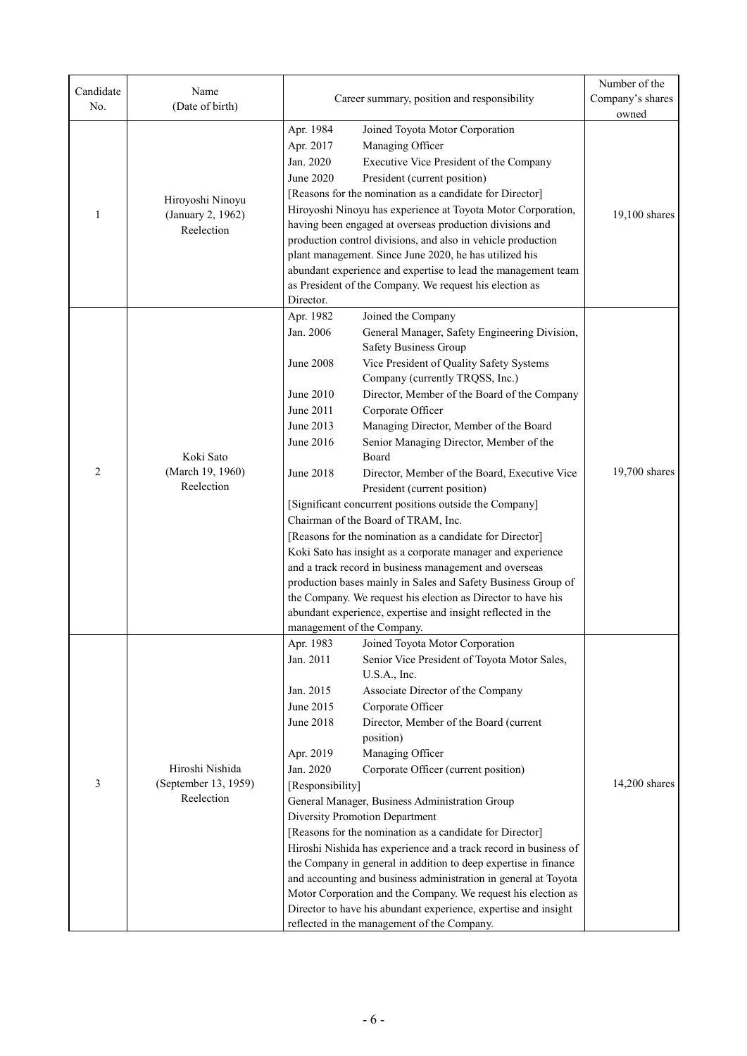| Candidate<br>No. | Name<br>(Date of birth)                     | Career summary, position and responsibility                      | Number of the<br>Company's shares                                                                                        |               |  |  |
|------------------|---------------------------------------------|------------------------------------------------------------------|--------------------------------------------------------------------------------------------------------------------------|---------------|--|--|
|                  |                                             |                                                                  | owned                                                                                                                    |               |  |  |
|                  |                                             | Apr. 1984                                                        | Joined Toyota Motor Corporation                                                                                          |               |  |  |
|                  |                                             | Apr. 2017                                                        | Managing Officer                                                                                                         |               |  |  |
|                  |                                             | Jan. 2020                                                        | Executive Vice President of the Company                                                                                  |               |  |  |
|                  |                                             | <b>June 2020</b>                                                 | President (current position)                                                                                             |               |  |  |
|                  | Hiroyoshi Ninoyu                            |                                                                  | [Reasons for the nomination as a candidate for Director]<br>Hiroyoshi Ninoyu has experience at Toyota Motor Corporation, |               |  |  |
| 1                | (January 2, 1962)                           |                                                                  | 19,100 shares                                                                                                            |               |  |  |
|                  | Reelection                                  |                                                                  | having been engaged at overseas production divisions and<br>production control divisions, and also in vehicle production |               |  |  |
|                  |                                             |                                                                  |                                                                                                                          |               |  |  |
|                  |                                             |                                                                  | plant management. Since June 2020, he has utilized his<br>abundant experience and expertise to lead the management team  |               |  |  |
|                  |                                             | as President of the Company. We request his election as          |                                                                                                                          |               |  |  |
|                  |                                             | Director.                                                        |                                                                                                                          |               |  |  |
|                  |                                             | Apr. 1982                                                        | Joined the Company                                                                                                       |               |  |  |
|                  |                                             | Jan. 2006                                                        | General Manager, Safety Engineering Division,<br>Safety Business Group                                                   |               |  |  |
|                  |                                             | <b>June 2008</b>                                                 | Vice President of Quality Safety Systems                                                                                 |               |  |  |
|                  |                                             |                                                                  | Company (currently TRQSS, Inc.)                                                                                          |               |  |  |
|                  |                                             | June 2010                                                        | Director, Member of the Board of the Company                                                                             |               |  |  |
|                  |                                             | June 2011                                                        | Corporate Officer                                                                                                        |               |  |  |
|                  |                                             | June 2013                                                        | Managing Director, Member of the Board                                                                                   |               |  |  |
|                  |                                             | June 2016                                                        | Senior Managing Director, Member of the                                                                                  |               |  |  |
|                  | Koki Sato<br>(March 19, 1960)<br>Reelection |                                                                  | Board                                                                                                                    |               |  |  |
| $\overline{2}$   |                                             | June 2018                                                        | Director, Member of the Board, Executive Vice<br>President (current position)                                            | 19,700 shares |  |  |
|                  |                                             |                                                                  | [Significant concurrent positions outside the Company]                                                                   |               |  |  |
|                  |                                             | Chairman of the Board of TRAM, Inc.                              |                                                                                                                          |               |  |  |
|                  |                                             | [Reasons for the nomination as a candidate for Director]         |                                                                                                                          |               |  |  |
|                  |                                             |                                                                  | Koki Sato has insight as a corporate manager and experience                                                              |               |  |  |
|                  |                                             |                                                                  | and a track record in business management and overseas                                                                   |               |  |  |
|                  |                                             | production bases mainly in Sales and Safety Business Group of    |                                                                                                                          |               |  |  |
|                  |                                             | the Company. We request his election as Director to have his     |                                                                                                                          |               |  |  |
|                  |                                             |                                                                  | abundant experience, expertise and insight reflected in the                                                              |               |  |  |
|                  |                                             |                                                                  | management of the Company.                                                                                               |               |  |  |
|                  |                                             | Apr. 1983                                                        | Joined Toyota Motor Corporation                                                                                          |               |  |  |
|                  |                                             | Jan. 2011                                                        | Senior Vice President of Toyota Motor Sales,<br>U.S.A., Inc.                                                             |               |  |  |
|                  |                                             | Jan. 2015                                                        | Associate Director of the Company                                                                                        |               |  |  |
|                  |                                             | June 2015                                                        | Corporate Officer                                                                                                        |               |  |  |
|                  |                                             | June 2018                                                        | Director, Member of the Board (current                                                                                   |               |  |  |
|                  |                                             |                                                                  | position)                                                                                                                |               |  |  |
|                  |                                             | Apr. 2019                                                        | Managing Officer                                                                                                         |               |  |  |
|                  | Hiroshi Nishida                             | Jan. 2020                                                        | Corporate Officer (current position)                                                                                     |               |  |  |
| 3                | (September 13, 1959)                        | [Responsibility]                                                 |                                                                                                                          | 14,200 shares |  |  |
|                  | Reelection                                  |                                                                  | General Manager, Business Administration Group                                                                           |               |  |  |
|                  |                                             |                                                                  | <b>Diversity Promotion Department</b>                                                                                    |               |  |  |
|                  |                                             | [Reasons for the nomination as a candidate for Director]         |                                                                                                                          |               |  |  |
|                  |                                             | Hiroshi Nishida has experience and a track record in business of |                                                                                                                          |               |  |  |
|                  |                                             | the Company in general in addition to deep expertise in finance  |                                                                                                                          |               |  |  |
|                  |                                             | and accounting and business administration in general at Toyota  |                                                                                                                          |               |  |  |
|                  |                                             | Motor Corporation and the Company. We request his election as    |                                                                                                                          |               |  |  |
|                  |                                             | Director to have his abundant experience, expertise and insight  |                                                                                                                          |               |  |  |
|                  |                                             |                                                                  | reflected in the management of the Company.                                                                              |               |  |  |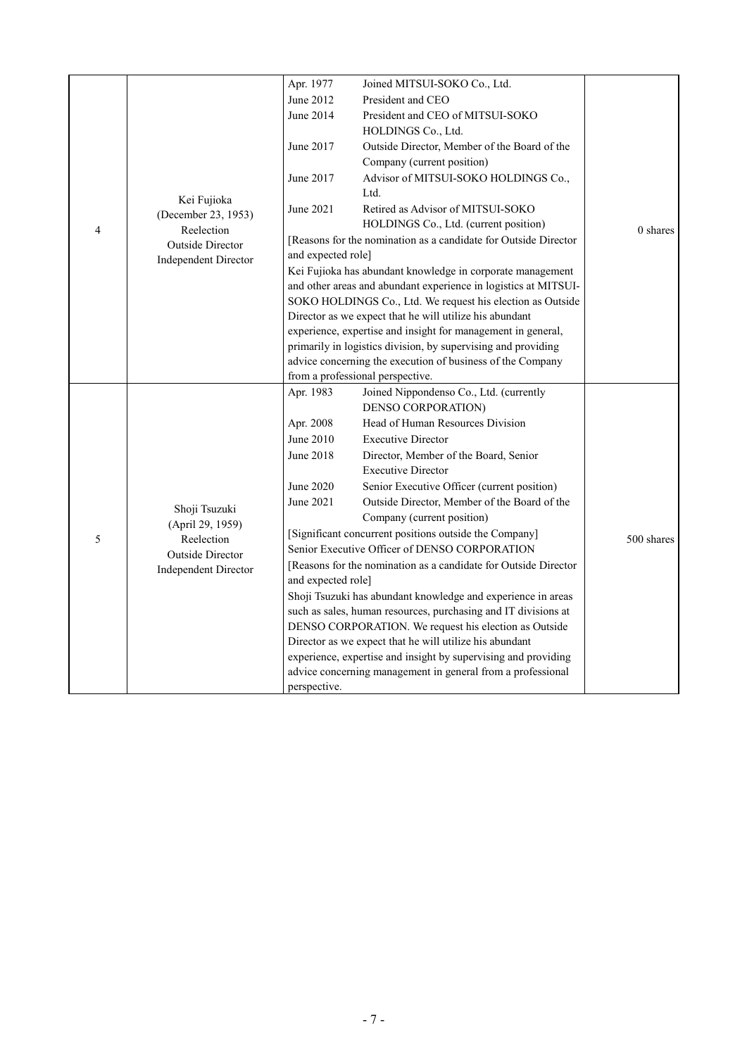|                |                             | Apr. 1977                                                       | Joined MITSUI-SOKO Co., Ltd.                                    |            |  |  |
|----------------|-----------------------------|-----------------------------------------------------------------|-----------------------------------------------------------------|------------|--|--|
|                |                             | June 2012                                                       | President and CEO                                               |            |  |  |
|                |                             | June 2014                                                       | President and CEO of MITSUI-SOKO                                |            |  |  |
|                |                             |                                                                 | HOLDINGS Co., Ltd.                                              |            |  |  |
|                |                             | June 2017                                                       | Outside Director, Member of the Board of the                    |            |  |  |
|                |                             |                                                                 | Company (current position)                                      |            |  |  |
|                |                             | June 2017                                                       | Advisor of MITSUI-SOKO HOLDINGS Co.,                            |            |  |  |
|                | Kei Fujioka                 |                                                                 | Ltd.                                                            |            |  |  |
|                | (December 23, 1953)         | June 2021                                                       | Retired as Advisor of MITSUI-SOKO                               |            |  |  |
| $\overline{4}$ | Reelection                  |                                                                 | HOLDINGS Co., Ltd. (current position)                           | 0 shares   |  |  |
|                | <b>Outside Director</b>     |                                                                 | [Reasons for the nomination as a candidate for Outside Director |            |  |  |
|                | <b>Independent Director</b> | and expected role]                                              |                                                                 |            |  |  |
|                |                             |                                                                 | Kei Fujioka has abundant knowledge in corporate management      |            |  |  |
|                |                             |                                                                 | and other areas and abundant experience in logistics at MITSUI- |            |  |  |
|                |                             |                                                                 | SOKO HOLDINGS Co., Ltd. We request his election as Outside      |            |  |  |
|                |                             |                                                                 | Director as we expect that he will utilize his abundant         |            |  |  |
|                |                             |                                                                 | experience, expertise and insight for management in general,    |            |  |  |
|                |                             | primarily in logistics division, by supervising and providing   |                                                                 |            |  |  |
|                |                             | advice concerning the execution of business of the Company      |                                                                 |            |  |  |
|                |                             |                                                                 | from a professional perspective.                                |            |  |  |
|                |                             | Apr. 1983                                                       | Joined Nippondenso Co., Ltd. (currently                         |            |  |  |
|                |                             |                                                                 | DENSO CORPORATION)                                              |            |  |  |
|                |                             | Apr. 2008                                                       | Head of Human Resources Division                                |            |  |  |
|                |                             | June 2010                                                       | <b>Executive Director</b>                                       |            |  |  |
|                | Shoji Tsuzuki               | June 2018                                                       | Director, Member of the Board, Senior                           |            |  |  |
|                |                             |                                                                 | <b>Executive Director</b>                                       |            |  |  |
|                |                             | June 2020                                                       | Senior Executive Officer (current position)                     |            |  |  |
|                |                             | June 2021                                                       | Outside Director, Member of the Board of the                    |            |  |  |
|                | (April 29, 1959)            |                                                                 | Company (current position)                                      |            |  |  |
| 5              | Reelection                  | [Significant concurrent positions outside the Company]          |                                                                 | 500 shares |  |  |
|                | Outside Director            |                                                                 | Senior Executive Officer of DENSO CORPORATION                   |            |  |  |
|                | <b>Independent Director</b> | [Reasons for the nomination as a candidate for Outside Director |                                                                 |            |  |  |
|                |                             | and expected role]                                              |                                                                 |            |  |  |
|                |                             |                                                                 | Shoji Tsuzuki has abundant knowledge and experience in areas    |            |  |  |
|                |                             |                                                                 | such as sales, human resources, purchasing and IT divisions at  |            |  |  |
|                |                             |                                                                 | DENSO CORPORATION. We request his election as Outside           |            |  |  |
|                |                             | Director as we expect that he will utilize his abundant         |                                                                 |            |  |  |
|                |                             | experience, expertise and insight by supervising and providing  |                                                                 |            |  |  |
|                |                             | advice concerning management in general from a professional     |                                                                 |            |  |  |
|                |                             | perspective.                                                    |                                                                 |            |  |  |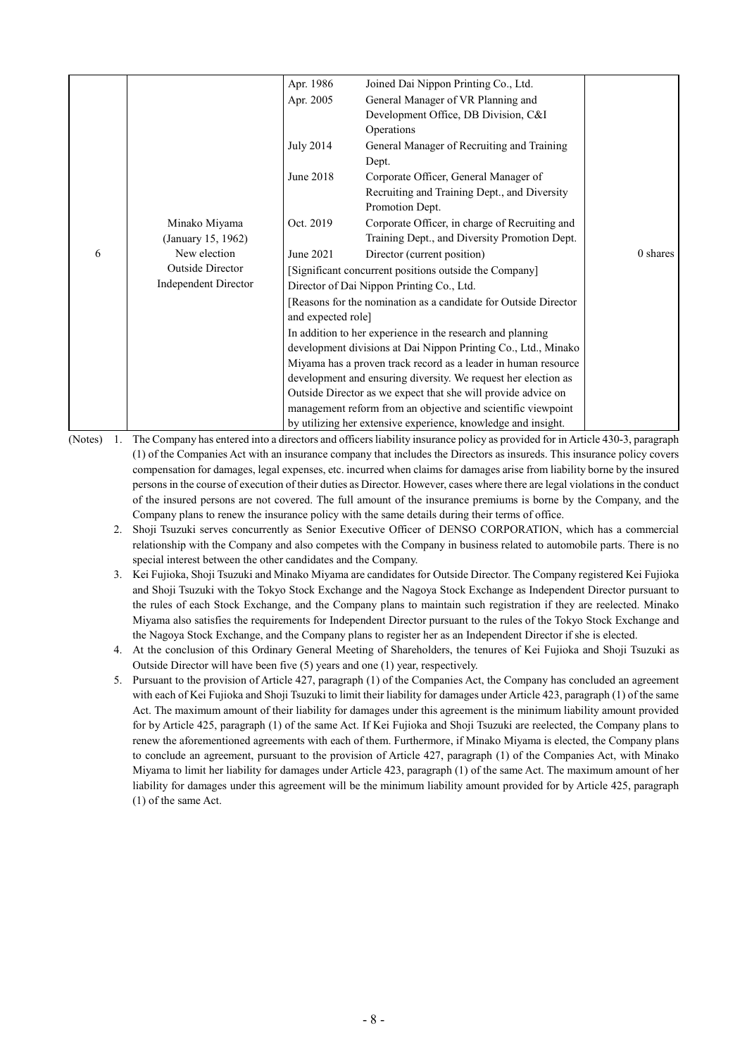|                                                                |                      | Apr. 1986                                                    | Joined Dai Nippon Printing Co., Ltd.                            |            |  |  |
|----------------------------------------------------------------|----------------------|--------------------------------------------------------------|-----------------------------------------------------------------|------------|--|--|
|                                                                |                      | Apr. 2005                                                    | General Manager of VR Planning and                              |            |  |  |
|                                                                |                      |                                                              | Development Office, DB Division, C&I                            |            |  |  |
|                                                                |                      |                                                              | Operations                                                      |            |  |  |
|                                                                |                      | July 2014                                                    | General Manager of Recruiting and Training                      |            |  |  |
|                                                                |                      |                                                              | Dept.                                                           |            |  |  |
|                                                                |                      | June 2018                                                    | Corporate Officer, General Manager of                           |            |  |  |
|                                                                |                      |                                                              | Recruiting and Training Dept., and Diversity                    |            |  |  |
|                                                                |                      |                                                              | Promotion Dept.                                                 |            |  |  |
|                                                                | Minako Miyama        | Oct. 2019                                                    | Corporate Officer, in charge of Recruiting and                  |            |  |  |
|                                                                | (January 15, 1962)   |                                                              | Training Dept., and Diversity Promotion Dept.                   |            |  |  |
| 6                                                              | New election         | June 2021                                                    | Director (current position)                                     | $0$ shares |  |  |
|                                                                | Outside Director     |                                                              | [Significant concurrent positions outside the Company]          |            |  |  |
|                                                                | Independent Director |                                                              | Director of Dai Nippon Printing Co., Ltd.                       |            |  |  |
|                                                                |                      |                                                              | [Reasons for the nomination as a candidate for Outside Director |            |  |  |
|                                                                |                      | and expected role]                                           |                                                                 |            |  |  |
|                                                                |                      |                                                              | In addition to her experience in the research and planning      |            |  |  |
|                                                                |                      |                                                              | development divisions at Dai Nippon Printing Co., Ltd., Minako  |            |  |  |
| Miyama has a proven track record as a leader in human resource |                      |                                                              |                                                                 |            |  |  |
|                                                                |                      |                                                              | development and ensuring diversity. We request her election as  |            |  |  |
|                                                                |                      |                                                              | Outside Director as we expect that she will provide advice on   |            |  |  |
|                                                                |                      | management reform from an objective and scientific viewpoint |                                                                 |            |  |  |
|                                                                |                      |                                                              | by utilizing her extensive experience, knowledge and insight.   |            |  |  |

(Notes) 1. The Company has entered into a directors and officers liability insurance policy as provided for in Article 430-3, paragraph (1) of the Companies Act with an insurance company that includes the Directors as insureds. This insurance policy covers compensation for damages, legal expenses, etc. incurred when claims for damages arise from liability borne by the insured persons in the course of execution of their duties as Director. However, cases where there are legal violations in the conduct of the insured persons are not covered. The full amount of the insurance premiums is borne by the Company, and the Company plans to renew the insurance policy with the same details during their terms of office.

- 2. Shoji Tsuzuki serves concurrently as Senior Executive Officer of DENSO CORPORATION, which has a commercial relationship with the Company and also competes with the Company in business related to automobile parts. There is no special interest between the other candidates and the Company.
- 3. Kei Fujioka, Shoji Tsuzuki and Minako Miyama are candidates for Outside Director. The Company registered Kei Fujioka and Shoji Tsuzuki with the Tokyo Stock Exchange and the Nagoya Stock Exchange as Independent Director pursuant to the rules of each Stock Exchange, and the Company plans to maintain such registration if they are reelected. Minako Miyama also satisfies the requirements for Independent Director pursuant to the rules of the Tokyo Stock Exchange and the Nagoya Stock Exchange, and the Company plans to register her as an Independent Director if she is elected.
- 4. At the conclusion of this Ordinary General Meeting of Shareholders, the tenures of Kei Fujioka and Shoji Tsuzuki as Outside Director will have been five (5) years and one (1) year, respectively.
- 5. Pursuant to the provision of Article 427, paragraph (1) of the Companies Act, the Company has concluded an agreement with each of Kei Fujioka and Shoji Tsuzuki to limit their liability for damages under Article 423, paragraph (1) of the same Act. The maximum amount of their liability for damages under this agreement is the minimum liability amount provided for by Article 425, paragraph (1) of the same Act. If Kei Fujioka and Shoji Tsuzuki are reelected, the Company plans to renew the aforementioned agreements with each of them. Furthermore, if Minako Miyama is elected, the Company plans to conclude an agreement, pursuant to the provision of Article 427, paragraph (1) of the Companies Act, with Minako Miyama to limit her liability for damages under Article 423, paragraph (1) of the same Act. The maximum amount of her liability for damages under this agreement will be the minimum liability amount provided for by Article 425, paragraph (1) of the same Act.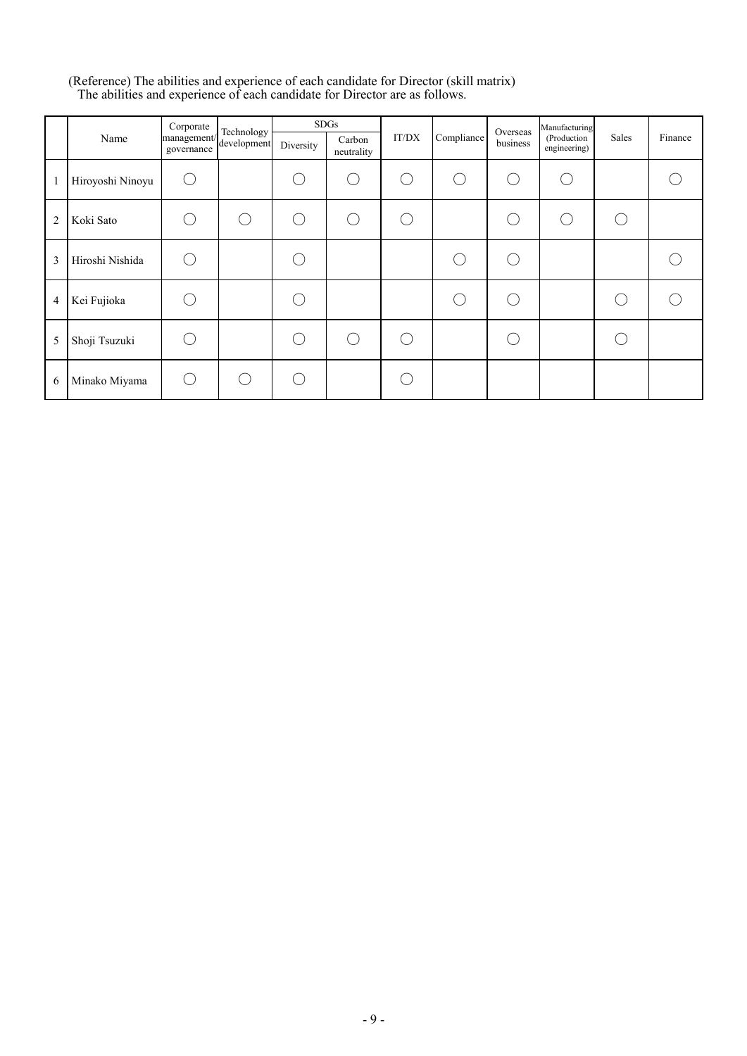#### (Reference) The abilities and experience of each candidate for Director (skill matrix) The abilities and experience of each candidate for Director are as follows.

|                |                  | Corporate                                | Technology |           | <b>SDGs</b>          |                                               |                                               | Overseas | Manufacturing                |                                                     |         |
|----------------|------------------|------------------------------------------|------------|-----------|----------------------|-----------------------------------------------|-----------------------------------------------|----------|------------------------------|-----------------------------------------------------|---------|
|                | Name             | management/<br>development<br>governance |            | Diversity | Carbon<br>neutrality | IT/DX                                         | Compliance                                    | business | (Production)<br>engineering) | Sales                                               | Finance |
| $\mathbf{1}$   | Hiroyoshi Ninoyu | $\left($                                 |            |           | - 1                  | $\left( \begin{array}{c} \end{array} \right)$ | $\left( \begin{array}{c} \end{array} \right)$ | (        |                              |                                                     |         |
| $\overline{2}$ | Koki Sato        | r.                                       |            |           | $(\ )$               |                                               |                                               |          | $(\quad)$                    | $\left( \begin{array}{c} \cdot \end{array} \right)$ |         |
| 3              | Hiroshi Nishida  |                                          |            |           |                      |                                               |                                               |          |                              |                                                     |         |
| 4              | Kei Fujioka      |                                          |            |           |                      |                                               |                                               |          |                              |                                                     |         |
| 5              | Shoji Tsuzuki    |                                          |            |           | $( \ )$              |                                               |                                               |          |                              |                                                     |         |
| 6              | Minako Miyama    | (                                        |            |           |                      |                                               |                                               |          |                              |                                                     |         |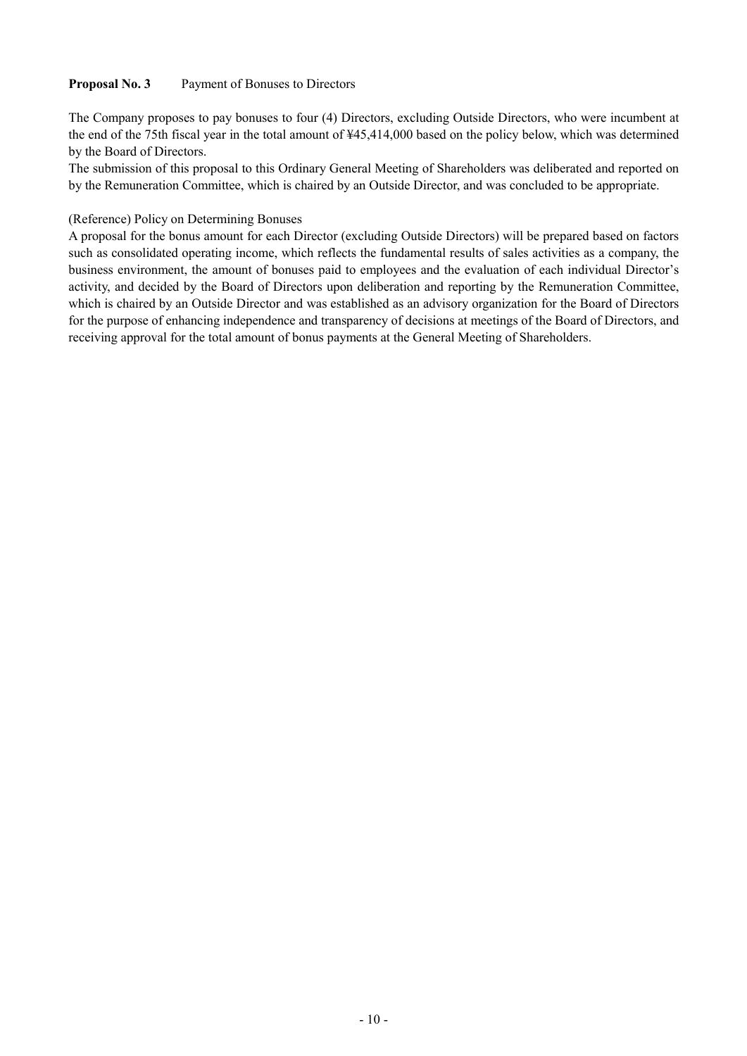## **Proposal No. 3** Payment of Bonuses to Directors

The Company proposes to pay bonuses to four (4) Directors, excluding Outside Directors, who were incumbent at the end of the 75th fiscal year in the total amount of ¥45,414,000 based on the policy below, which was determined by the Board of Directors.

The submission of this proposal to this Ordinary General Meeting of Shareholders was deliberated and reported on by the Remuneration Committee, which is chaired by an Outside Director, and was concluded to be appropriate.

### (Reference) Policy on Determining Bonuses

A proposal for the bonus amount for each Director (excluding Outside Directors) will be prepared based on factors such as consolidated operating income, which reflects the fundamental results of sales activities as a company, the business environment, the amount of bonuses paid to employees and the evaluation of each individual Director's activity, and decided by the Board of Directors upon deliberation and reporting by the Remuneration Committee, which is chaired by an Outside Director and was established as an advisory organization for the Board of Directors for the purpose of enhancing independence and transparency of decisions at meetings of the Board of Directors, and receiving approval for the total amount of bonus payments at the General Meeting of Shareholders.